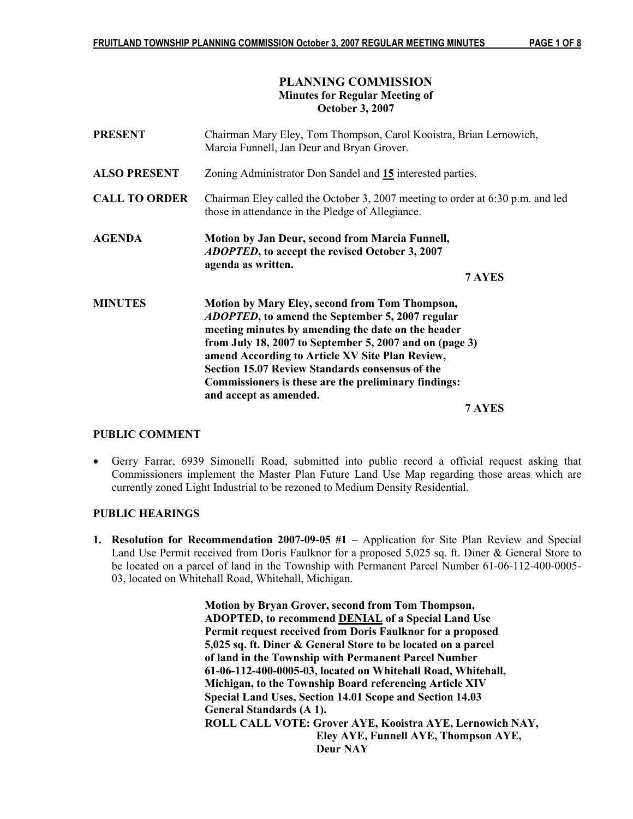## PLANNING COMMISSION Minutes for Regular Meeting of October 3, 2007

| <b>PRESENT</b>       | Chairman Mary Eley, Tom Thompson, Carol Kooistra, Brian Lernowich,<br>Marcia Funnell, Jan Deur and Bryan Grover.                                                                                                                                                                                                                                                                                                                        |
|----------------------|-----------------------------------------------------------------------------------------------------------------------------------------------------------------------------------------------------------------------------------------------------------------------------------------------------------------------------------------------------------------------------------------------------------------------------------------|
| <b>ALSO PRESENT</b>  | Zoning Administrator Don Sandel and 15 interested parties.                                                                                                                                                                                                                                                                                                                                                                              |
| <b>CALL TO ORDER</b> | Chairman Eley called the October 3, 2007 meeting to order at $6:30$ p.m. and led<br>those in attendance in the Pledge of Allegiance.                                                                                                                                                                                                                                                                                                    |
| <b>AGENDA</b>        | <b>Motion by Jan Deur, second from Marcia Funnell,</b><br><i>ADOPTED</i> , to accept the revised October 3, 2007<br>agenda as written.<br>7 AYES                                                                                                                                                                                                                                                                                        |
| <b>MINUTES</b>       | <b>Motion by Mary Eley, second from Tom Thompson,</b><br><i>ADOPTED</i> , to amend the September 5, 2007 regular<br>meeting minutes by amending the date on the header<br>from July 18, 2007 to September 5, 2007 and on (page 3)<br>amend According to Article XV Site Plan Review,<br><b>Section 15.07 Review Standards consensus of the</b><br><b>Commissioners is these are the preliminary findings:</b><br>and accept as amended. |

7 AYES

# PUBLIC COMMENT

• Gerry Farrar, 6939 Simonelli Road, submitted into public record a official request asking that Commissioners implement the Master Plan Future Land Use Map regarding those areas which are currently zoned Light Industrial to be rezoned to Medium Density Residential.

#### PUBLIC HEARINGS

1. Resolution for Recommendation 2007-09-05 #1 – Application for Site Plan Review and Special Land Use Permit received from Doris Faulknor for a proposed 5,025 sq. ft. Diner & General Store to be located on a parcel of land in the Township with Permanent Parcel Number 61-06-112-400-0005- 03, located on Whitehall Road, Whitehall, Michigan.

> Motion by Bryan Grover, second from Tom Thompson, ADOPTED, to recommend DENIAL of a Special Land Use Permit request received from Doris Faulknor for a proposed 5,025 sq. ft. Diner & General Store to be located on a parcel of land in the Township with Permanent Parcel Number 61-06-112-400-0005-03, located on Whitehall Road, Whitehall, Michigan, to the Township Board referencing Article XIV Special Land Uses, Section 14.01 Scope and Section 14.03 General Standards (A 1). ROLL CALL VOTE: Grover AYE, Kooistra AYE, Lernowich NAY, Eley AYE, Funnell AYE, Thompson AYE, Deur NAY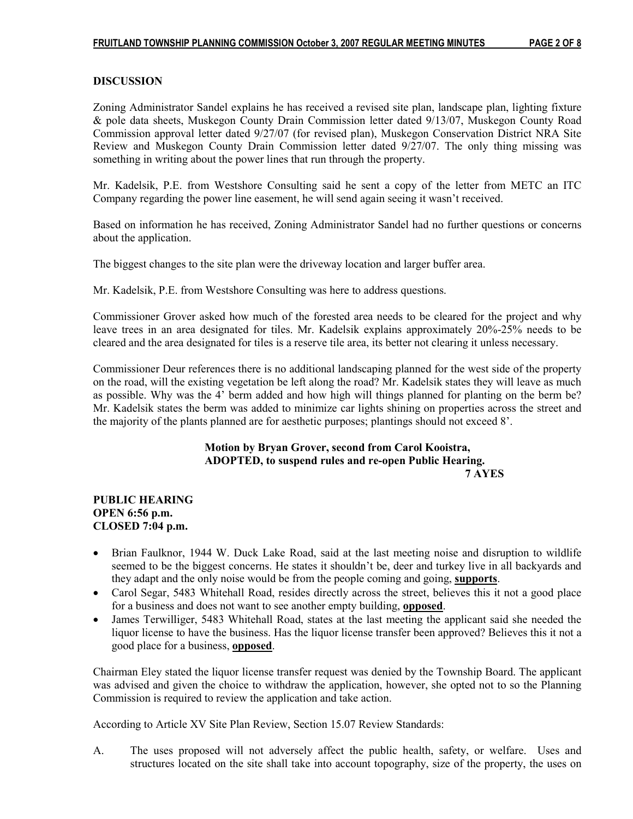#### DISCUSSION

Zoning Administrator Sandel explains he has received a revised site plan, landscape plan, lighting fixture & pole data sheets, Muskegon County Drain Commission letter dated 9/13/07, Muskegon County Road Commission approval letter dated 9/27/07 (for revised plan), Muskegon Conservation District NRA Site Review and Muskegon County Drain Commission letter dated 9/27/07. The only thing missing was something in writing about the power lines that run through the property.

Mr. Kadelsik, P.E. from Westshore Consulting said he sent a copy of the letter from METC an ITC Company regarding the power line easement, he will send again seeing it wasn't received.

Based on information he has received, Zoning Administrator Sandel had no further questions or concerns about the application.

The biggest changes to the site plan were the driveway location and larger buffer area.

Mr. Kadelsik, P.E. from Westshore Consulting was here to address questions.

Commissioner Grover asked how much of the forested area needs to be cleared for the project and why leave trees in an area designated for tiles. Mr. Kadelsik explains approximately 20%-25% needs to be cleared and the area designated for tiles is a reserve tile area, its better not clearing it unless necessary.

Commissioner Deur references there is no additional landscaping planned for the west side of the property on the road, will the existing vegetation be left along the road? Mr. Kadelsik states they will leave as much as possible. Why was the 4' berm added and how high will things planned for planting on the berm be? Mr. Kadelsik states the berm was added to minimize car lights shining on properties across the street and the majority of the plants planned are for aesthetic purposes; plantings should not exceed 8'.

#### Motion by Bryan Grover, second from Carol Kooistra, ADOPTED, to suspend rules and re-open Public Hearing. 7 AYES

#### PUBLIC HEARING OPEN 6:56 p.m. CLOSED 7:04 p.m.

- Brian Faulknor, 1944 W. Duck Lake Road, said at the last meeting noise and disruption to wildlife seemed to be the biggest concerns. He states it shouldn't be, deer and turkey live in all backyards and they adapt and the only noise would be from the people coming and going, supports.
- Carol Segar, 5483 Whitehall Road, resides directly across the street, believes this it not a good place for a business and does not want to see another empty building, opposed.
- James Terwilliger, 5483 Whitehall Road, states at the last meeting the applicant said she needed the liquor license to have the business. Has the liquor license transfer been approved? Believes this it not a good place for a business, opposed.

Chairman Eley stated the liquor license transfer request was denied by the Township Board. The applicant was advised and given the choice to withdraw the application, however, she opted not to so the Planning Commission is required to review the application and take action.

According to Article XV Site Plan Review, Section 15.07 Review Standards:

A. The uses proposed will not adversely affect the public health, safety, or welfare. Uses and structures located on the site shall take into account topography, size of the property, the uses on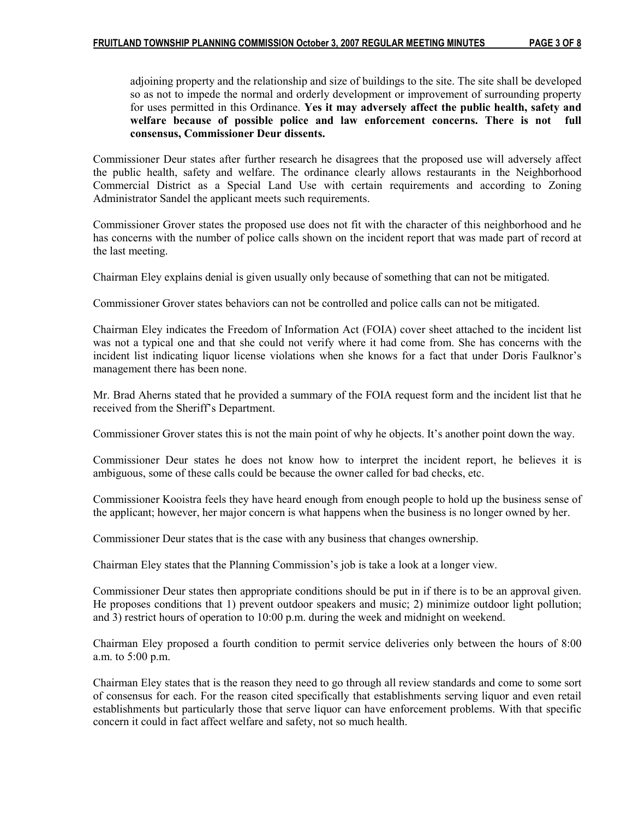adjoining property and the relationship and size of buildings to the site. The site shall be developed so as not to impede the normal and orderly development or improvement of surrounding property for uses permitted in this Ordinance. Yes it may adversely affect the public health, safety and welfare because of possible police and law enforcement concerns. There is not full consensus, Commissioner Deur dissents.

Commissioner Deur states after further research he disagrees that the proposed use will adversely affect the public health, safety and welfare. The ordinance clearly allows restaurants in the Neighborhood Commercial District as a Special Land Use with certain requirements and according to Zoning Administrator Sandel the applicant meets such requirements.

Commissioner Grover states the proposed use does not fit with the character of this neighborhood and he has concerns with the number of police calls shown on the incident report that was made part of record at the last meeting.

Chairman Eley explains denial is given usually only because of something that can not be mitigated.

Commissioner Grover states behaviors can not be controlled and police calls can not be mitigated.

Chairman Eley indicates the Freedom of Information Act (FOIA) cover sheet attached to the incident list was not a typical one and that she could not verify where it had come from. She has concerns with the incident list indicating liquor license violations when she knows for a fact that under Doris Faulknor's management there has been none.

Mr. Brad Aherns stated that he provided a summary of the FOIA request form and the incident list that he received from the Sheriff's Department.

Commissioner Grover states this is not the main point of why he objects. It's another point down the way.

Commissioner Deur states he does not know how to interpret the incident report, he believes it is ambiguous, some of these calls could be because the owner called for bad checks, etc.

Commissioner Kooistra feels they have heard enough from enough people to hold up the business sense of the applicant; however, her major concern is what happens when the business is no longer owned by her.

Commissioner Deur states that is the case with any business that changes ownership.

Chairman Eley states that the Planning Commission's job is take a look at a longer view.

Commissioner Deur states then appropriate conditions should be put in if there is to be an approval given. He proposes conditions that 1) prevent outdoor speakers and music; 2) minimize outdoor light pollution; and 3) restrict hours of operation to 10:00 p.m. during the week and midnight on weekend.

Chairman Eley proposed a fourth condition to permit service deliveries only between the hours of 8:00 a.m. to 5:00 p.m.

Chairman Eley states that is the reason they need to go through all review standards and come to some sort of consensus for each. For the reason cited specifically that establishments serving liquor and even retail establishments but particularly those that serve liquor can have enforcement problems. With that specific concern it could in fact affect welfare and safety, not so much health.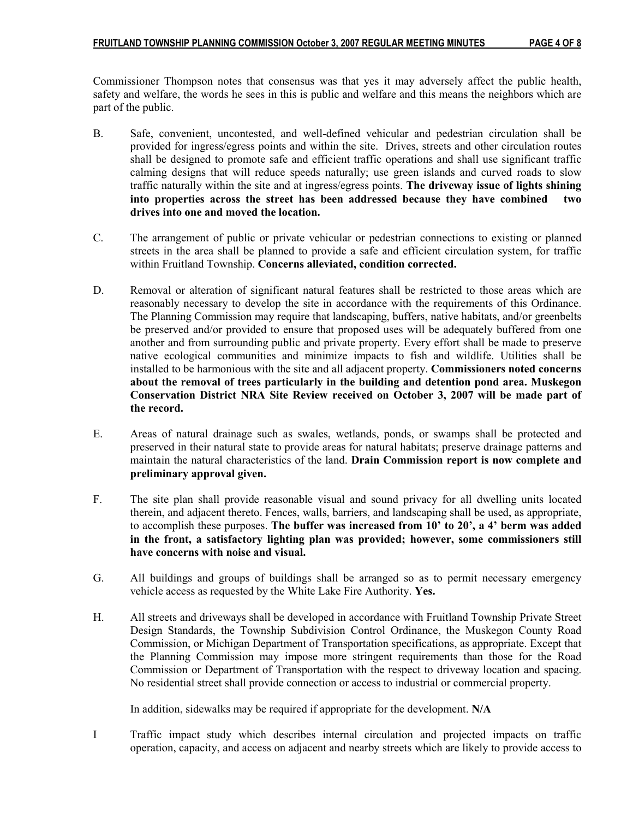Commissioner Thompson notes that consensus was that yes it may adversely affect the public health, safety and welfare, the words he sees in this is public and welfare and this means the neighbors which are part of the public.

- B. Safe, convenient, uncontested, and well-defined vehicular and pedestrian circulation shall be provided for ingress/egress points and within the site. Drives, streets and other circulation routes shall be designed to promote safe and efficient traffic operations and shall use significant traffic calming designs that will reduce speeds naturally; use green islands and curved roads to slow traffic naturally within the site and at ingress/egress points. The driveway issue of lights shining into properties across the street has been addressed because they have combined two drives into one and moved the location.
- C. The arrangement of public or private vehicular or pedestrian connections to existing or planned streets in the area shall be planned to provide a safe and efficient circulation system, for traffic within Fruitland Township. Concerns alleviated, condition corrected.
- D. Removal or alteration of significant natural features shall be restricted to those areas which are reasonably necessary to develop the site in accordance with the requirements of this Ordinance. The Planning Commission may require that landscaping, buffers, native habitats, and/or greenbelts be preserved and/or provided to ensure that proposed uses will be adequately buffered from one another and from surrounding public and private property. Every effort shall be made to preserve native ecological communities and minimize impacts to fish and wildlife. Utilities shall be installed to be harmonious with the site and all adjacent property. Commissioners noted concerns about the removal of trees particularly in the building and detention pond area. Muskegon Conservation District NRA Site Review received on October 3, 2007 will be made part of the record.
- E. Areas of natural drainage such as swales, wetlands, ponds, or swamps shall be protected and preserved in their natural state to provide areas for natural habitats; preserve drainage patterns and maintain the natural characteristics of the land. Drain Commission report is now complete and preliminary approval given.
- F. The site plan shall provide reasonable visual and sound privacy for all dwelling units located therein, and adjacent thereto. Fences, walls, barriers, and landscaping shall be used, as appropriate, to accomplish these purposes. The buffer was increased from 10' to 20', a 4' berm was added in the front, a satisfactory lighting plan was provided; however, some commissioners still have concerns with noise and visual.
- G. All buildings and groups of buildings shall be arranged so as to permit necessary emergency vehicle access as requested by the White Lake Fire Authority. Yes.
- H. All streets and driveways shall be developed in accordance with Fruitland Township Private Street Design Standards, the Township Subdivision Control Ordinance, the Muskegon County Road Commission, or Michigan Department of Transportation specifications, as appropriate. Except that the Planning Commission may impose more stringent requirements than those for the Road Commission or Department of Transportation with the respect to driveway location and spacing. No residential street shall provide connection or access to industrial or commercial property.

In addition, sidewalks may be required if appropriate for the development. N/A

I Traffic impact study which describes internal circulation and projected impacts on traffic operation, capacity, and access on adjacent and nearby streets which are likely to provide access to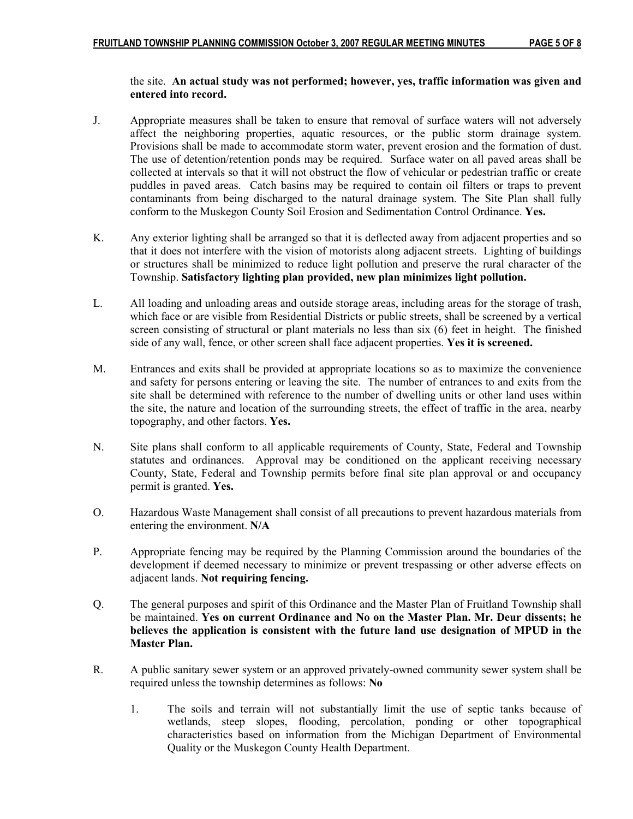#### the site. An actual study was not performed; however, yes, traffic information was given and entered into record.

- J. Appropriate measures shall be taken to ensure that removal of surface waters will not adversely affect the neighboring properties, aquatic resources, or the public storm drainage system. Provisions shall be made to accommodate storm water, prevent erosion and the formation of dust. The use of detention/retention ponds may be required. Surface water on all paved areas shall be collected at intervals so that it will not obstruct the flow of vehicular or pedestrian traffic or create puddles in paved areas. Catch basins may be required to contain oil filters or traps to prevent contaminants from being discharged to the natural drainage system. The Site Plan shall fully conform to the Muskegon County Soil Erosion and Sedimentation Control Ordinance. Yes.
- K. Any exterior lighting shall be arranged so that it is deflected away from adjacent properties and so that it does not interfere with the vision of motorists along adjacent streets. Lighting of buildings or structures shall be minimized to reduce light pollution and preserve the rural character of the Township. Satisfactory lighting plan provided, new plan minimizes light pollution.
- L. All loading and unloading areas and outside storage areas, including areas for the storage of trash, which face or are visible from Residential Districts or public streets, shall be screened by a vertical screen consisting of structural or plant materials no less than six (6) feet in height. The finished side of any wall, fence, or other screen shall face adjacent properties. Yes it is screened.
- M. Entrances and exits shall be provided at appropriate locations so as to maximize the convenience and safety for persons entering or leaving the site. The number of entrances to and exits from the site shall be determined with reference to the number of dwelling units or other land uses within the site, the nature and location of the surrounding streets, the effect of traffic in the area, nearby topography, and other factors. Yes.
- N. Site plans shall conform to all applicable requirements of County, State, Federal and Township statutes and ordinances. Approval may be conditioned on the applicant receiving necessary County, State, Federal and Township permits before final site plan approval or and occupancy permit is granted. Yes.
- O. Hazardous Waste Management shall consist of all precautions to prevent hazardous materials from entering the environment. N/A
- P. Appropriate fencing may be required by the Planning Commission around the boundaries of the development if deemed necessary to minimize or prevent trespassing or other adverse effects on adjacent lands. Not requiring fencing.
- Q. The general purposes and spirit of this Ordinance and the Master Plan of Fruitland Township shall be maintained. Yes on current Ordinance and No on the Master Plan. Mr. Deur dissents; he believes the application is consistent with the future land use designation of MPUD in the Master Plan.
- R. A public sanitary sewer system or an approved privately-owned community sewer system shall be required unless the township determines as follows: No
	- 1. The soils and terrain will not substantially limit the use of septic tanks because of wetlands, steep slopes, flooding, percolation, ponding or other topographical characteristics based on information from the Michigan Department of Environmental Quality or the Muskegon County Health Department.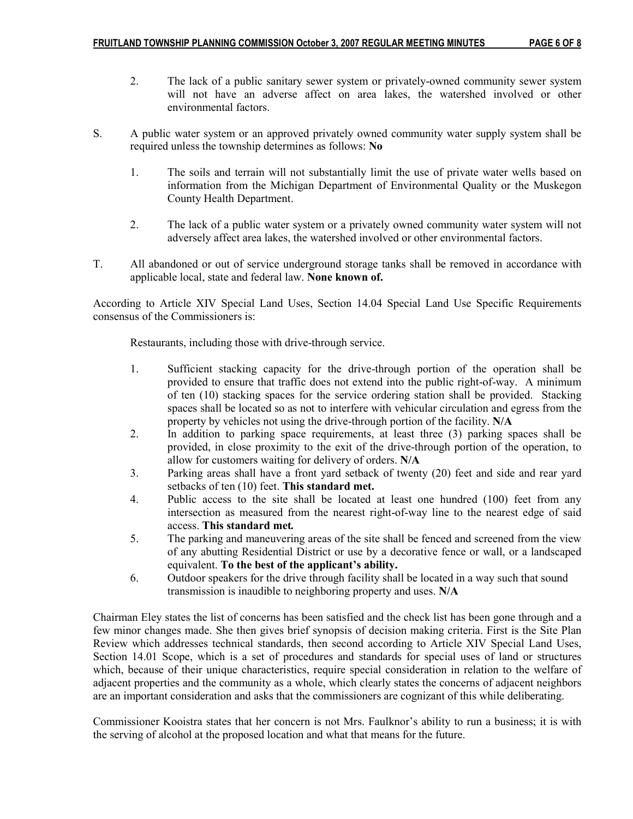- 2. The lack of a public sanitary sewer system or privately-owned community sewer system will not have an adverse affect on area lakes, the watershed involved or other environmental factors.
- S. A public water system or an approved privately owned community water supply system shall be required unless the township determines as follows: No
	- 1. The soils and terrain will not substantially limit the use of private water wells based on information from the Michigan Department of Environmental Quality or the Muskegon County Health Department.
	- 2. The lack of a public water system or a privately owned community water system will not adversely affect area lakes, the watershed involved or other environmental factors.
- T. All abandoned or out of service underground storage tanks shall be removed in accordance with applicable local, state and federal law. None known of.

According to Article XIV Special Land Uses, Section 14.04 Special Land Use Specific Requirements consensus of the Commissioners is:

Restaurants, including those with drive-through service.

- 1. Sufficient stacking capacity for the drive-through portion of the operation shall be provided to ensure that traffic does not extend into the public right-of-way. A minimum of ten (10) stacking spaces for the service ordering station shall be provided. Stacking spaces shall be located so as not to interfere with vehicular circulation and egress from the property by vehicles not using the drive-through portion of the facility. N/A
- 2. In addition to parking space requirements, at least three (3) parking spaces shall be provided, in close proximity to the exit of the drive-through portion of the operation, to allow for customers waiting for delivery of orders. N/A
- 3. Parking areas shall have a front yard setback of twenty (20) feet and side and rear yard setbacks of ten (10) feet. This standard met.
- 4. Public access to the site shall be located at least one hundred (100) feet from any intersection as measured from the nearest right-of-way line to the nearest edge of said access. This standard met.
- 5. The parking and maneuvering areas of the site shall be fenced and screened from the view of any abutting Residential District or use by a decorative fence or wall, or a landscaped equivalent. To the best of the applicant's ability.
- 6. Outdoor speakers for the drive through facility shall be located in a way such that sound transmission is inaudible to neighboring property and uses. N/A

Chairman Eley states the list of concerns has been satisfied and the check list has been gone through and a few minor changes made. She then gives brief synopsis of decision making criteria. First is the Site Plan Review which addresses technical standards, then second according to Article XIV Special Land Uses, Section 14.01 Scope, which is a set of procedures and standards for special uses of land or structures which, because of their unique characteristics, require special consideration in relation to the welfare of adjacent properties and the community as a whole, which clearly states the concerns of adjacent neighbors are an important consideration and asks that the commissioners are cognizant of this while deliberating.

Commissioner Kooistra states that her concern is not Mrs. Faulknor's ability to run a business; it is with the serving of alcohol at the proposed location and what that means for the future.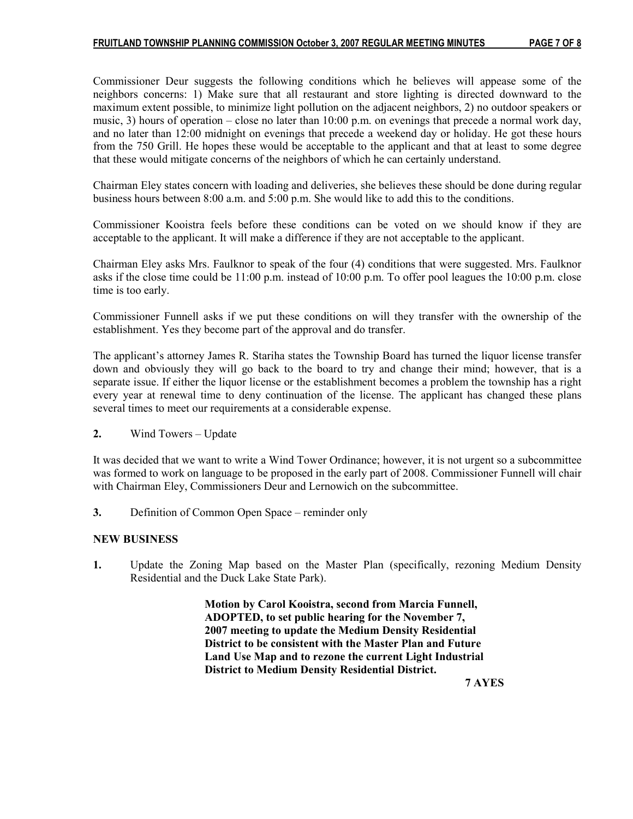Commissioner Deur suggests the following conditions which he believes will appease some of the neighbors concerns: 1) Make sure that all restaurant and store lighting is directed downward to the maximum extent possible, to minimize light pollution on the adjacent neighbors, 2) no outdoor speakers or music, 3) hours of operation – close no later than 10:00 p.m. on evenings that precede a normal work day, and no later than 12:00 midnight on evenings that precede a weekend day or holiday. He got these hours from the 750 Grill. He hopes these would be acceptable to the applicant and that at least to some degree that these would mitigate concerns of the neighbors of which he can certainly understand.

Chairman Eley states concern with loading and deliveries, she believes these should be done during regular business hours between 8:00 a.m. and 5:00 p.m. She would like to add this to the conditions.

Commissioner Kooistra feels before these conditions can be voted on we should know if they are acceptable to the applicant. It will make a difference if they are not acceptable to the applicant.

Chairman Eley asks Mrs. Faulknor to speak of the four (4) conditions that were suggested. Mrs. Faulknor asks if the close time could be 11:00 p.m. instead of 10:00 p.m. To offer pool leagues the 10:00 p.m. close time is too early.

Commissioner Funnell asks if we put these conditions on will they transfer with the ownership of the establishment. Yes they become part of the approval and do transfer.

The applicant's attorney James R. Stariha states the Township Board has turned the liquor license transfer down and obviously they will go back to the board to try and change their mind; however, that is a separate issue. If either the liquor license or the establishment becomes a problem the township has a right every year at renewal time to deny continuation of the license. The applicant has changed these plans several times to meet our requirements at a considerable expense.

2. Wind Towers – Update

It was decided that we want to write a Wind Tower Ordinance; however, it is not urgent so a subcommittee was formed to work on language to be proposed in the early part of 2008. Commissioner Funnell will chair with Chairman Eley, Commissioners Deur and Lernowich on the subcommittee.

3. Definition of Common Open Space – reminder only

#### NEW BUSINESS

1. Update the Zoning Map based on the Master Plan (specifically, rezoning Medium Density Residential and the Duck Lake State Park).

> Motion by Carol Kooistra, second from Marcia Funnell, ADOPTED, to set public hearing for the November 7, 2007 meeting to update the Medium Density Residential District to be consistent with the Master Plan and Future Land Use Map and to rezone the current Light Industrial District to Medium Density Residential District.

7 AYES